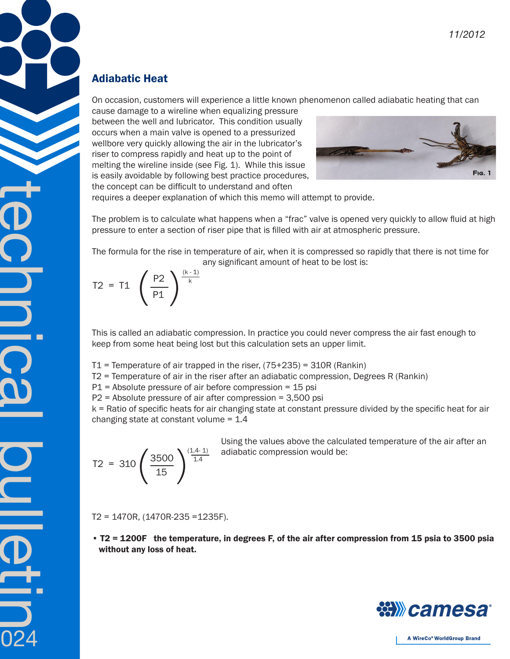## Adiabatic Heat

On occasion, customers will experience a little known phenomenon called adiabatic heating that can

cause damage to a wireline when equalizing pressure between the well and lubricator. This condition usually occurs when a main valve is opened to a pressurized wellbore very quickly allowing the air in the lubricator's riser to compress rapidly and heat up to the point of melting the wireline inside (see Fig. 1). While this issue is easily avoidable by following best practice procedures, the concept can be difficult to understand and often



requires a deeper explanation of which this memo will attempt to provide.

The problem is to calculate what happens when a "frac" valve is opened very quickly to allow fluid at high pressure to enter a section of riser pipe that is filled with air at atmospheric pressure.

The formula for the rise in temperature of air, when it is compressed so rapidly that there is not time for any significant amount of heat to be lost is:

$$
T2 = T1 \left(\frac{P2}{P1}\right)^{\frac{(k-1)}{k}}
$$

This is called an adiabatic compression. In practice you could never compress the air fast enough to keep from some heat being lost but this calculation sets an upper limit.

T1 = Temperature of air trapped in the riser,  $(75+235)$  = 310R (Rankin)

T2 = Temperature of air in the riser after an adiabatic compression, Degrees R (Rankin)

 $P1$  = Absolute pressure of air before compression = 15 psi

P2 = Absolute pressure of air after compression = 3,500 psi

k = Ratio of specific heats for air changing state at constant pressure divided by the specific heat for air changing state at constant volume  $= 1.4$ 

$$
T2 = 310 \left(\frac{3500}{15}\right)^{\frac{(1.4-1)}{1.4}}
$$

technical buletin

024

Using the values above the calculated temperature of the air after an adiabatic compression would be:

T2 = 1470R, (1470R-235 =1235F).

• T2 = 1200F the temperature, in degrees F, of the air after compression from 15 psia to 3500 psia without any loss of heat.